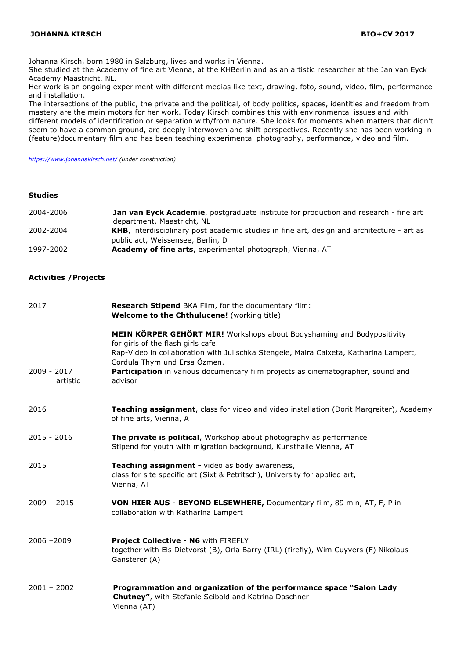Johanna Kirsch, born 1980 in Salzburg, lives and works in Vienna.

She studied at the Academy of fine art Vienna, at the KHBerlin and as an artistic researcher at the Jan van Eyck Academy Maastricht, NL.

Her work is an ongoing experiment with different medias like text, drawing, foto, sound, video, film, performance and installation.

The intersections of the public, the private and the political, of body politics, spaces, identities and freedom from mastery are the main motors for her work. Today Kirsch combines this with environmental issues and with different models of identification or separation with/from nature. She looks for moments when matters that didn't seem to have a common ground, are deeply interwoven and shift perspectives. Recently she has been working in (feature)documentary film and has been teaching experimental photography, performance, video and film.

*https://www.johannakirsch.net/ (under construction)*

#### **Studies**

| 2004-2006                    | Jan van Eyck Academie, postgraduate institute for production and research - fine art<br>department, Maastricht, NL                             |
|------------------------------|------------------------------------------------------------------------------------------------------------------------------------------------|
| 2002-2004                    | KHB, interdisciplinary post academic studies in fine art, design and architecture - art as<br>public act, Weissensee, Berlin, D                |
| 1997-2002                    | Academy of fine arts, experimental photograph, Vienna, AT                                                                                      |
| <b>Activities / Projects</b> |                                                                                                                                                |
| 2017                         | Research Stipend BKA Film, for the documentary film:<br>Welcome to the Chthulucene! (working title)                                            |
|                              | <b>MEIN KÖRPER GEHÖRT MIR!</b> Workshops about Bodyshaming and Bodypositivity<br>for girls of the flash girls cafe.                            |
|                              | Rap-Video in collaboration with Julischka Stengele, Maira Caixeta, Katharina Lampert,<br>Cordula Thym und Ersa Özmen.                          |
| 2009 - 2017<br>artistic      | Participation in various documentary film projects as cinematographer, sound and<br>advisor                                                    |
| 2016                         | Teaching assignment, class for video and video installation (Dorit Margreiter), Academy<br>of fine arts, Vienna, AT                            |
| $2015 - 2016$                | The private is political, Workshop about photography as performance<br>Stipend for youth with migration background, Kunsthalle Vienna, AT      |
| 2015                         | Teaching assignment - video as body awareness,<br>class for site specific art (Sixt & Petritsch), University for applied art,<br>Vienna, AT    |
| $2009 - 2015$                | VON HIER AUS - BEYOND ELSEWHERE, Documentary film, 89 min, AT, F, P in<br>collaboration with Katharina Lampert                                 |
| $2006 - 2009$                | Project Collective - N6 with FIREFLY<br>together with Els Dietvorst (B), Orla Barry (IRL) (firefly), Wim Cuyvers (F) Nikolaus<br>Gansterer (A) |
| $2001 - 2002$                | Programmation and organization of the performance space "Salon Lady<br>Chutney", with Stefanie Seibold and Katrina Daschner<br>Vienna (AT)     |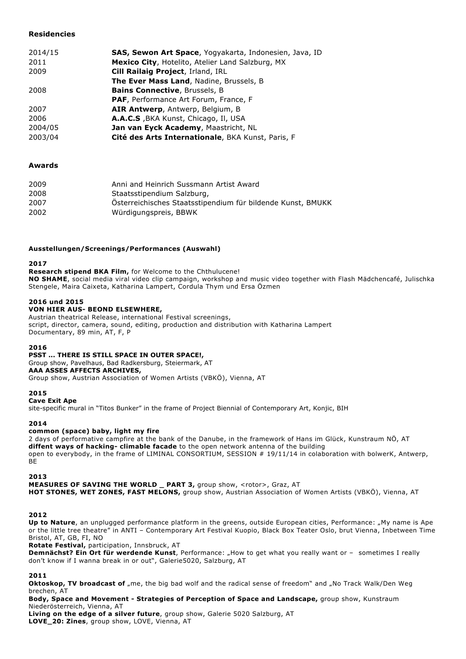# **Residencies**

| 2014/15 |                                                                |
|---------|----------------------------------------------------------------|
|         | <b>SAS, Sewon Art Space</b> , Yogyakarta, Indonesien, Java, ID |
| 2011    | Mexico City, Hotelito, Atelier Land Salzburg, MX               |
| 2009    | Cill Railaig Project, Irland, IRL                              |
|         | <b>The Ever Mass Land, Nadine, Brussels, B.</b>                |
| 2008    | <b>Bains Connective, Brussels, B.</b>                          |
|         | <b>PAF, Performance Art Forum, France, F</b>                   |
| 2007    | AIR Antwerp, Antwerp, Belgium, B                               |
| 2006    | A.A.C.S, BKA Kunst, Chicago, Il, USA                           |
| 2004/05 | Jan van Eyck Academy, Maastricht, NL                           |
| 2003/04 | Cité des Arts Internationale, BKA Kunst, Paris, F              |

# **Awards**

| 2009 | Anni and Heinrich Sussmann Artist Award                     |
|------|-------------------------------------------------------------|
| 2008 | Staatsstipendium Salzburg,                                  |
| 2007 | Österreichisches Staatsstipendium für bildende Kunst, BMUKK |
| 2002 | Würdigungspreis, BBWK                                       |

## **Ausstellungen/Screenings/Performances (Auswahl)**

## **2017**

**Research stipend BKA Film,** for Welcome to the Chthulucene! **NO SHAME**, social media viral video clip campaign, workshop and music video together with Flash Mädchencafé, Julischka Stengele, Maira Caixeta, Katharina Lampert, Cordula Thym und Ersa Özmen

## **2016 und 2015**

## **VON HIER AUS- BEOND ELSEWHERE,**

Austrian theatrical Release, international Festival screenings, script, director, camera, sound, editing, production and distribution with Katharina Lampert Documentary, 89 min, AT, F, P

### **2016**

### **PSST ... THERE IS STILL SPACE IN OUTER SPACE!,**

Group show, Pavelhaus, Bad Radkersburg, Steiermark, AT **AAA ASSES AFFECTS ARCHIVES,** Group show, Austrian Association of Women Artists (VBKÖ), Vienna, AT

### **2015**

### **Cave Exit Ape**

site-specific mural in "Titos Bunker" in the frame of Project Biennial of Contemporary Art, Konjic, BIH

### **2014**

### **common (space) baby, light my fire**

2 days of performative campfire at the bank of the Danube, in the framework of Hans im Glück, Kunstraum NÖ, AT **diffent ways of hacking- climable facade** to the open network antenna of the building open to everybody, in the frame of LIMINAL CONSORTIUM, SESSION # 19/11/14 in colaboration with bolwerK, Antwerp, BE

### **2013**

**MEASURES OF SAVING THE WORLD \_ PART 3, group show, <rotor>, Graz, AT HOT STONES, WET ZONES, FAST MELONS,** group show, Austrian Association of Women Artists (VBKÖ), Vienna, AT

### **2012**

Up to Nature, an unplugged performance platform in the greens, outside European cities, Performance: "My name is Ape or the little tree theatre" in ANTI – Contemporary Art Festival Kuopio, Black Box Teater Oslo, brut Vienna, Inbetween Time Bristol, AT, GB, FI, NO

**Rotate Festival,** participation, Innsbruck, AT

**Demnächst? Ein Ort für werdende Kunst**, Performance: "How to get what you really want or - sometimes I really don't know if I wanna break in or out", Galerie5020, Salzburg, AT

### **2011**

**Oktoskop, TV broadcast of** "me, the big bad wolf and the radical sense of freedom" and "No Track Walk/Den Weg brechen, AT

**Body, Space and Movement - Strategies of Perception of Space and Landscape,** group show, Kunstraum Niederösterreich, Vienna, AT

**Living on the edge of a silver future**, group show, Galerie 5020 Salzburg, AT **LOVE\_20: Zines**, group show, LOVE, Vienna, AT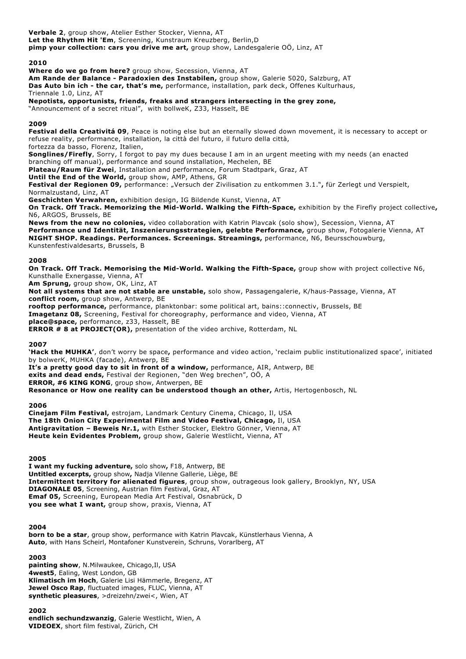**Verbale 2**, group show, Atelier Esther Stocker, Vienna, AT **Let the Rhythm Hit 'Em**, Screening, Kunstraum Kreuzberg, Berlin,D **pimp your collection: cars you drive me art,** group show, Landesgalerie OÖ, Linz, AT

## **2010**

**Where do we go from here?** group show, Secession, Vienna, AT

**Am Rande der Balance - Paradoxien des Instabilen,** group show, Galerie 5020, Salzburg, AT **Das Auto bin ich - the car, that's me,** performance, installation, park deck, Offenes Kulturhaus, Triennale 1.0, Linz, AT

**Nepotists, opportunists, friends, freaks and strangers intersecting in the grey zone,**

"Announcement of a secret ritual", with bollweK, Z33, Hasselt, BE

### **2009**

**Festival della Creativitá 09**, Peace is noting else but an eternally slowed down movement, it is necessary to accept or refuse reality, performance, installation, la città del futuro, il futuro della città,

fortezza da basso, Florenz, Italien,

**Songlines/Firefly**, Sorry, I forgot to pay my dues because I am in an urgent meeting with my needs (an enacted branching off manual), performance and sound installation, Mechelen, BE

**Plateau/Raum für Zwei**, Installation and performance, Forum Stadtpark, Graz, AT

**Until the End of the World,** group show, AMP, Athens, GR

Festival der Regionen 09, performance: "Versuch der Zivilisation zu entkommen 3.1.", für Zerlegt und Verspielt, Normalzustand, Linz, AT

**Geschichten Verwahren,** exhibition design, IG Bildende Kunst, Vienna, AT

**On Track. Off Track. Memorizing the Mid-World. Walking the Fifth-Space,** exhibition by the Firefly project collective**,**  N6, ARGOS, Brussels, BE

**News from the new no colonies,** video collaboration with Katrin Plavcak (solo show), Secession, Vienna, AT **Performance und Identität, Inszenierungsstrategien, gelebte Performance,** group show, Fotogalerie Vienna, AT **NIGHT SHOP. Readings. Performances. Screenings. Streamings,** performance, N6, Beursschouwburg, Kunstenfestivaldesarts, Brussels, B

#### **2008**

**On Track. Off Track. Memorising the Mid-World. Walking the Fifth-Space,** group show with project collective N6, Kunsthalle Exnergasse, Vienna, AT

**Am Sprung,** group show, OK, Linz, AT

**Not all systems that are not stable are unstable,** solo show, Passagengalerie, K/haus-Passage, Vienna, AT **conflict room,** group show, Antwerp, BE **rooftop performance,** performance, planktonbar: some political art, bains::connectiv, Brussels, BE

**Imagetanz 08,** Screening, Festival for choreography, performance and video, Vienna, AT

**place@space,** performance, z33, Hasselt, BE

**ERROR # 8 at PROJECT(OR),** presentation of the video archive, Rotterdam, NL

### **2007**

**'Hack the MUHKA'**, don't worry be space**,** performance and video action, 'reclaim public institutionalized space', initiated by bolwerK, MUHKA (facade), Antwerp, BE

It's a pretty good day to sit in front of a window, performance, AIR, Antwerp, BE **exits and dead ends,** Festival der Regionen, "den Weg brechen", OÖ, A **ERROR, #6 KING KONG**, group show, Antwerpen, BE **Resonance or How one reality can be understood though an other,** Artis, Hertogenbosch, NL

#### **2006**

**Cinejam Film Festival,** estrojam, Landmark Century Cinema, Chicago, Il, USA **The 18th Onion City Experimental Film and Video Festival, Chicago,** Il, USA **Antigravitation – Beweis Nr.1,** with Esther Stocker, Elektro Gönner, Vienna, AT **Heute kein Evidentes Problem,** group show, Galerie Westlicht, Vienna, AT

### **2005**

**I want my fucking adventure,** solo show**,** F18, Antwerp, BE **Untitled excerpts,** group show**,** Nadja Vilenne Gallerie, Liège, BE **Intermittent territory for alienated figures**, group show, outrageous look gallery, Brooklyn, NY, USA **DIAGONALE 05**, Screening, Austrian film Festival, Graz, AT **Emaf 05,** Screening, European Media Art Festival, Osnabrück, D **you see what I want,** group show, praxis, Vienna, AT

### **2004**

**born to be a star**, group show, performance with Katrin Plavcak, Künstlerhaus Vienna, A **Auto**, with Hans Scheirl, Montafoner Kunstverein, Schruns, Vorarlberg, AT

### **2003**

**painting show**, N.Milwaukee, Chicago,Il, USA **4west5**, Ealing, West London, GB **Klimatisch im Hoch**, Galerie Lisi Hämmerle, Bregenz, AT **Jewel Osco Rap**, fluctuated images, FLUC, Vienna, AT **synthetic pleasures**, >dreizehn/zwei<, Wien, AT

### **2002**

**endlich sechundzwanzig**, Galerie Westlicht, Wien, A **VIDEOEX**, short film festival, Zürich, CH